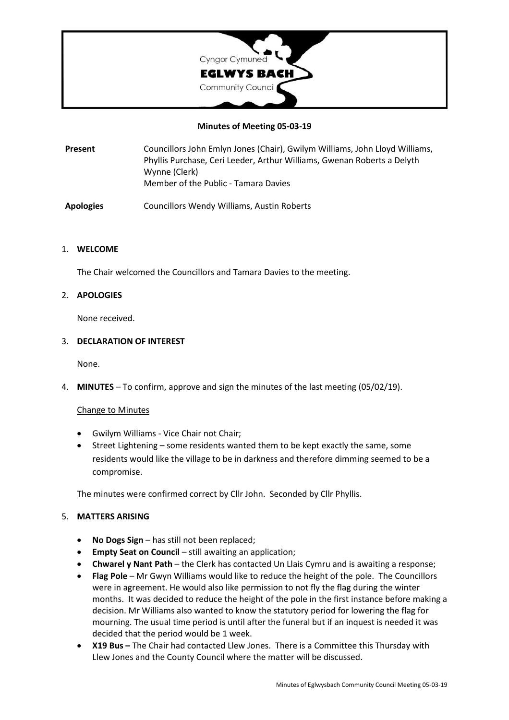

# **Minutes of Meeting 05-03-19**

**Present** Councillors John Emlyn Jones (Chair), Gwilym Williams, John Lloyd Williams, Phyllis Purchase, Ceri Leeder, Arthur Williams, Gwenan Roberts a Delyth Wynne (Clerk) Member of the Public - Tamara Davies

**Apologies** Councillors Wendy Williams, Austin Roberts

# 1. **WELCOME**

The Chair welcomed the Councillors and Tamara Davies to the meeting.

# 2. **APOLOGIES**

None received.

# 3. **DECLARATION OF INTEREST**

None.

4. **MINUTES** – To confirm, approve and sign the minutes of the last meeting (05/02/19).

# Change to Minutes

- Gwilym Williams Vice Chair not Chair;
- Street Lightening some residents wanted them to be kept exactly the same, some residents would like the village to be in darkness and therefore dimming seemed to be a compromise.

The minutes were confirmed correct by Cllr John. Seconded by Cllr Phyllis.

# 5. **MATTERS ARISING**

- **No Dogs Sign** has still not been replaced;
- **Empty Seat on Council** still awaiting an application;
- **Chwarel y Nant Path** the Clerk has contacted Un Llais Cymru and is awaiting a response;
- **Flag Pole** Mr Gwyn Williams would like to reduce the height of the pole. The Councillors were in agreement. He would also like permission to not fly the flag during the winter months. It was decided to reduce the height of the pole in the first instance before making a decision. Mr Williams also wanted to know the statutory period for lowering the flag for mourning. The usual time period is until after the funeral but if an inquest is needed it was decided that the period would be 1 week.
- **X19 Bus –** The Chair had contacted Llew Jones. There is a Committee this Thursday with Llew Jones and the County Council where the matter will be discussed.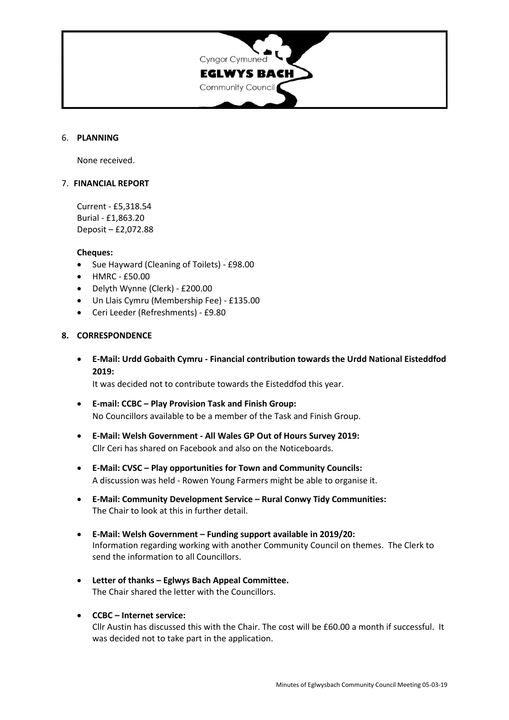

### 6. **PLANNING**

None received.

### 7. **FINANCIAL REPORT**

Current - £5,318.54 Burial - £1,863.20 Deposit – £2,072.88

#### **Cheques:**

- Sue Hayward (Cleaning of Toilets) £98.00
- HMRC £50.00
- Delyth Wynne (Clerk) £200.00
- Un Llais Cymru (Membership Fee) £135.00
- Ceri Leeder (Refreshments) £9.80

### **8. CORRESPONDENCE**

• **E-Mail: Urdd Gobaith Cymru - Financial contribution towards the Urdd National Eisteddfod 2019:**

It was decided not to contribute towards the Eisteddfod this year.

- **E-mail: CCBC – Play Provision Task and Finish Group:** No Councillors available to be a member of the Task and Finish Group.
- **E-Mail: Welsh Government - All Wales GP Out of Hours Survey 2019:** Cllr Ceri has shared on Facebook and also on the Noticeboards.
- **E-Mail: CVSC – Play opportunities for Town and Community Councils:** A discussion was held - Rowen Young Farmers might be able to organise it.
- **E-Mail: Community Development Service – Rural Conwy Tidy Communities:** The Chair to look at this in further detail.
- **E-Mail: Welsh Government – Funding support available in 2019/20:** Information regarding working with another Community Council on themes. The Clerk to send the information to all Councillors.
- **Letter of thanks – Eglwys Bach Appeal Committee.** The Chair shared the letter with the Councillors.
- **CCBC – Internet service:**

Cllr Austin has discussed this with the Chair. The cost will be £60.00 a month if successful. It was decided not to take part in the application.